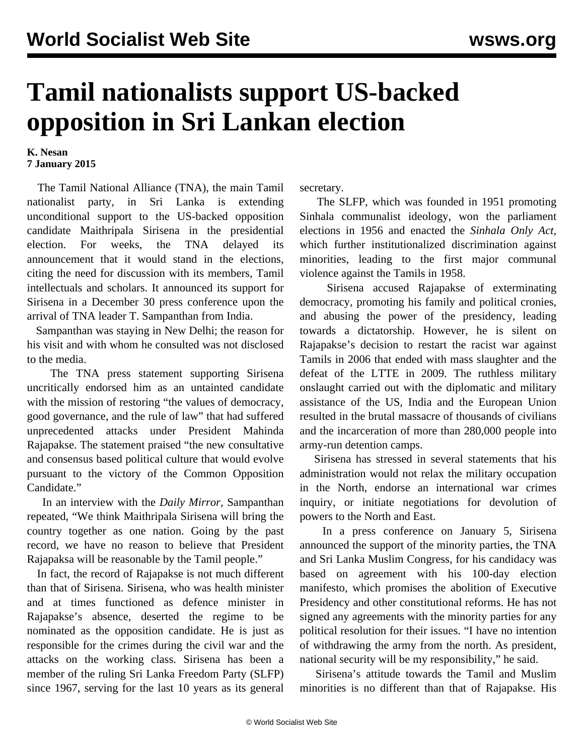## **Tamil nationalists support US-backed opposition in Sri Lankan election**

## **K. Nesan 7 January 2015**

 The Tamil National Alliance (TNA), the main Tamil nationalist party, in Sri Lanka is extending unconditional support to the US-backed opposition candidate Maithripala Sirisena in the presidential election. For weeks, the TNA delayed its announcement that it would stand in the elections, citing the need for discussion with its members, Tamil intellectuals and scholars. It announced its support for Sirisena in a December 30 press conference upon the arrival of TNA leader T. Sampanthan from India.

 Sampanthan was staying in New Delhi; the reason for his visit and with whom he consulted was not disclosed to the media.

 The TNA press statement supporting Sirisena uncritically endorsed him as an untainted candidate with the mission of restoring "the values of democracy, good governance, and the rule of law" that had suffered unprecedented attacks under President Mahinda Rajapakse. The statement praised "the new consultative and consensus based political culture that would evolve pursuant to the victory of the Common Opposition Candidate."

 In an interview with the *Daily Mirror,* Sampanthan repeated, "We think Maithripala Sirisena will bring the country together as one nation. Going by the past record, we have no reason to believe that President Rajapaksa will be reasonable by the Tamil people."

 In fact, the record of Rajapakse is not much different than that of Sirisena. Sirisena, who was health minister and at times functioned as defence minister in Rajapakse's absence, deserted the regime to be nominated as the opposition candidate. He is just as responsible for the crimes during the civil war and the attacks on the working class. Sirisena has been a member of the ruling Sri Lanka Freedom Party (SLFP) since 1967, serving for the last 10 years as its general secretary.

 The SLFP, which was founded in 1951 promoting Sinhala communalist ideology, won the parliament elections in 1956 and enacted the *Sinhala Only Act,* which further institutionalized discrimination against minorities, leading to the first major communal violence against the Tamils in 1958.

 Sirisena accused Rajapakse of exterminating democracy, promoting his family and political cronies, and abusing the power of the presidency, leading towards a dictatorship. However, he is silent on Rajapakse's decision to restart the racist war against Tamils in 2006 that ended with mass slaughter and the defeat of the LTTE in 2009. The ruthless military onslaught carried out with the diplomatic and military assistance of the US, India and the European Union resulted in the brutal massacre of thousands of civilians and the incarceration of more than 280,000 people into army-run detention camps.

 Sirisena has stressed in several statements that his administration would not relax the military occupation in the North, endorse an international war crimes inquiry, or initiate negotiations for devolution of powers to the North and East.

 In a press conference on January 5, Sirisena announced the support of the minority parties, the TNA and Sri Lanka Muslim Congress, for his candidacy was based on agreement with his 100-day election manifesto, which promises the abolition of Executive Presidency and other constitutional reforms. He has not signed any agreements with the minority parties for any political resolution for their issues. "I have no intention of withdrawing the army from the north. As president, national security will be my responsibility," he said.

 Sirisena's attitude towards the Tamil and Muslim minorities is no different than that of Rajapakse. His